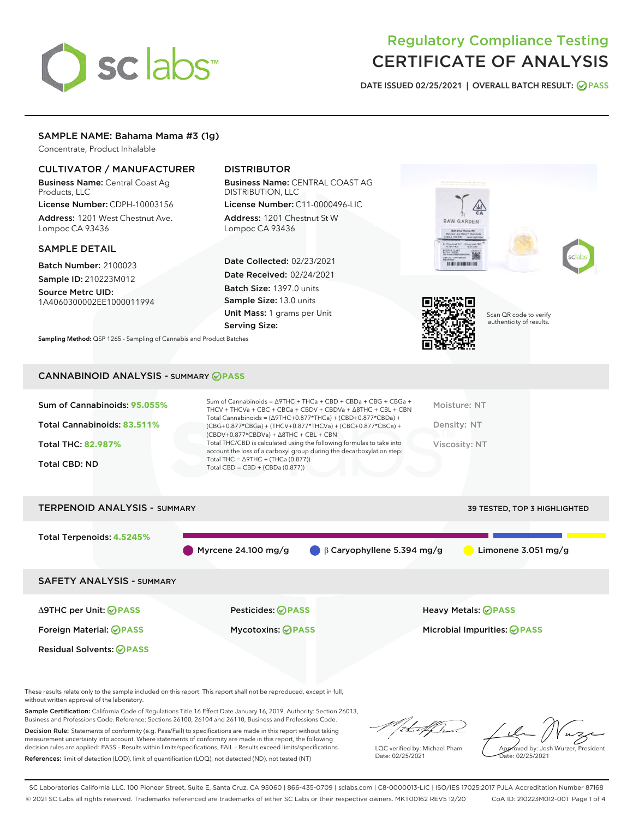# sclabs

# Regulatory Compliance Testing CERTIFICATE OF ANALYSIS

DATE ISSUED 02/25/2021 | OVERALL BATCH RESULT: @ PASS

# SAMPLE NAME: Bahama Mama #3 (1g)

Concentrate, Product Inhalable

# CULTIVATOR / MANUFACTURER

Business Name: Central Coast Ag Products, LLC

License Number: CDPH-10003156 Address: 1201 West Chestnut Ave. Lompoc CA 93436

# SAMPLE DETAIL

Batch Number: 2100023 Sample ID: 210223M012

Source Metrc UID: 1A4060300002EE1000011994

# DISTRIBUTOR

Business Name: CENTRAL COAST AG DISTRIBUTION, LLC

License Number: C11-0000496-LIC Address: 1201 Chestnut St W Lompoc CA 93436

Date Collected: 02/23/2021 Date Received: 02/24/2021 Batch Size: 1397.0 units Sample Size: 13.0 units Unit Mass: 1 grams per Unit Serving Size:







Scan QR code to verify authenticity of results.

Sampling Method: QSP 1265 - Sampling of Cannabis and Product Batches

# CANNABINOID ANALYSIS - SUMMARY **PASS**

| Total Cannabinoids: 83.511%<br>Density: NT<br>(CBG+0.877*CBGa) + (THCV+0.877*THCVa) + (CBC+0.877*CBCa) +<br>$(CBDV+0.877*CBDVa) + \Delta 8THC + CBL + CBN$<br>Total THC/CBD is calculated using the following formulas to take into<br><b>Total THC: 82.987%</b><br>Viscosity: NT<br>account the loss of a carboxyl group during the decarboxylation step:<br>Total THC = $\triangle$ 9THC + (THCa (0.877))<br><b>Total CBD: ND</b><br>Total CBD = CBD + (CBDa $(0.877)$ ) | Sum of Cannabinoids: 95.055% | Sum of Cannabinoids = $\triangle$ 9THC + THCa + CBD + CBDa + CBG + CBGa +<br>THCV + THCVa + CBC + CBCa + CBDV + CBDVa + $\triangle$ 8THC + CBL + CBN<br>Total Cannabinoids = $(\Delta$ 9THC+0.877*THCa) + (CBD+0.877*CBDa) + | Moisture: NT |
|----------------------------------------------------------------------------------------------------------------------------------------------------------------------------------------------------------------------------------------------------------------------------------------------------------------------------------------------------------------------------------------------------------------------------------------------------------------------------|------------------------------|------------------------------------------------------------------------------------------------------------------------------------------------------------------------------------------------------------------------------|--------------|
|                                                                                                                                                                                                                                                                                                                                                                                                                                                                            |                              |                                                                                                                                                                                                                              |              |
|                                                                                                                                                                                                                                                                                                                                                                                                                                                                            |                              |                                                                                                                                                                                                                              |              |
|                                                                                                                                                                                                                                                                                                                                                                                                                                                                            |                              |                                                                                                                                                                                                                              |              |



These results relate only to the sample included on this report. This report shall not be reproduced, except in full, without written approval of the laboratory.

Sample Certification: California Code of Regulations Title 16 Effect Date January 16, 2019. Authority: Section 26013, Business and Professions Code. Reference: Sections 26100, 26104 and 26110, Business and Professions Code.

Decision Rule: Statements of conformity (e.g. Pass/Fail) to specifications are made in this report without taking measurement uncertainty into account. Where statements of conformity are made in this report, the following decision rules are applied: PASS – Results within limits/specifications, FAIL – Results exceed limits/specifications. References: limit of detection (LOD), limit of quantification (LOQ), not detected (ND), not tested (NT)

that fCh

LQC verified by: Michael Pham Date: 02/25/2021

Approved by: Josh Wurzer, President ate: 02/25/2021

SC Laboratories California LLC. 100 Pioneer Street, Suite E, Santa Cruz, CA 95060 | 866-435-0709 | sclabs.com | C8-0000013-LIC | ISO/IES 17025:2017 PJLA Accreditation Number 87168 © 2021 SC Labs all rights reserved. Trademarks referenced are trademarks of either SC Labs or their respective owners. MKT00162 REV5 12/20 CoA ID: 210223M012-001 Page 1 of 4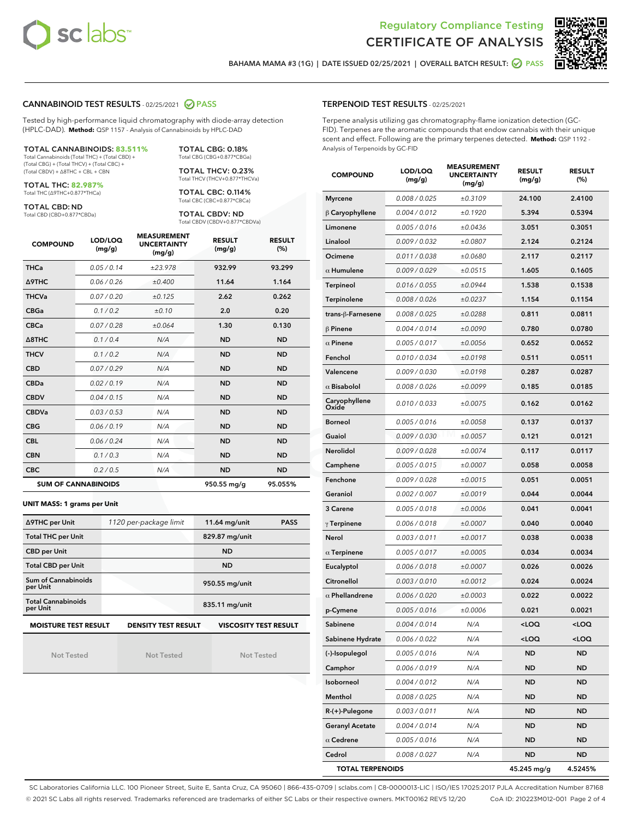



BAHAMA MAMA #3 (1G) | DATE ISSUED 02/25/2021 | OVERALL BATCH RESULT: 2 PASS

# CANNABINOID TEST RESULTS - 02/25/2021 2 PASS

Tested by high-performance liquid chromatography with diode-array detection (HPLC-DAD). **Method:** QSP 1157 - Analysis of Cannabinoids by HPLC-DAD

#### TOTAL CANNABINOIDS: **83.511%**

Total Cannabinoids (Total THC) + (Total CBD) + (Total CBG) + (Total THCV) + (Total CBC) + (Total CBDV) + ∆8THC + CBL + CBN

TOTAL THC: **82.987%** Total THC (∆9THC+0.877\*THCa)

TOTAL CBD: ND

Total CBD (CBD+0.877\*CBDa)

TOTAL CBG: 0.18% Total CBG (CBG+0.877\*CBGa)

TOTAL THCV: 0.23% Total THCV (THCV+0.877\*THCVa)

TOTAL CBC: 0.114% Total CBC (CBC+0.877\*CBCa)

TOTAL CBDV: ND Total CBDV (CBDV+0.877\*CBDVa)

| <b>COMPOUND</b>            | LOD/LOQ<br>(mg/g) | <b>MEASUREMENT</b><br><b>UNCERTAINTY</b><br>(mg/g) | <b>RESULT</b><br>(mg/g) | <b>RESULT</b><br>(%) |
|----------------------------|-------------------|----------------------------------------------------|-------------------------|----------------------|
| <b>THCa</b>                | 0.05/0.14         | ±23.978                                            | 932.99                  | 93.299               |
| <b>A9THC</b>               | 0.06/0.26         | ±0.400                                             | 11.64                   | 1.164                |
| <b>THCVa</b>               | 0.07 / 0.20       | ±0.125                                             | 2.62                    | 0.262                |
| <b>CBGa</b>                | 0.1/0.2           | ±0.10                                              | 2.0                     | 0.20                 |
| <b>CBCa</b>                | 0.07 / 0.28       | ±0.064                                             | 1.30                    | 0.130                |
| $\triangle$ 8THC           | 0.1/0.4           | N/A                                                | <b>ND</b>               | <b>ND</b>            |
| <b>THCV</b>                | 0.1/0.2           | N/A                                                | <b>ND</b>               | <b>ND</b>            |
| <b>CBD</b>                 | 0.07/0.29         | N/A                                                | <b>ND</b>               | <b>ND</b>            |
| <b>CBDa</b>                | 0.02/0.19         | N/A                                                | <b>ND</b>               | <b>ND</b>            |
| <b>CBDV</b>                | 0.04 / 0.15       | N/A                                                | <b>ND</b>               | <b>ND</b>            |
| <b>CBDVa</b>               | 0.03/0.53         | N/A                                                | <b>ND</b>               | <b>ND</b>            |
| <b>CBG</b>                 | 0.06/0.19         | N/A                                                | <b>ND</b>               | <b>ND</b>            |
| <b>CBL</b>                 | 0.06 / 0.24       | N/A                                                | <b>ND</b>               | <b>ND</b>            |
| <b>CBN</b>                 | 0.1/0.3           | N/A                                                | <b>ND</b>               | <b>ND</b>            |
| <b>CBC</b>                 | 0.2 / 0.5         | N/A                                                | <b>ND</b>               | <b>ND</b>            |
| <b>SUM OF CANNABINOIDS</b> |                   |                                                    | 950.55 mg/g             | 95.055%              |

#### **UNIT MASS: 1 grams per Unit**

| ∆9THC per Unit                                                                            | 1120 per-package limit | 11.64 mg/unit<br><b>PASS</b> |  |  |  |
|-------------------------------------------------------------------------------------------|------------------------|------------------------------|--|--|--|
| <b>Total THC per Unit</b>                                                                 |                        | 829.87 mg/unit               |  |  |  |
| <b>CBD per Unit</b>                                                                       |                        | <b>ND</b>                    |  |  |  |
| <b>Total CBD per Unit</b>                                                                 |                        | <b>ND</b>                    |  |  |  |
| Sum of Cannabinoids<br>per Unit                                                           |                        | 950.55 mg/unit               |  |  |  |
| <b>Total Cannabinoids</b><br>per Unit                                                     |                        | 835.11 mg/unit               |  |  |  |
| <b>MOISTURE TEST RESULT</b><br><b>VISCOSITY TEST RESULT</b><br><b>DENSITY TEST RESULT</b> |                        |                              |  |  |  |

# **MOISTURE TEST RESULT**

Not Tested

Not Tested

Not Tested

#### TERPENOID TEST RESULTS - 02/25/2021

Terpene analysis utilizing gas chromatography-flame ionization detection (GC-FID). Terpenes are the aromatic compounds that endow cannabis with their unique scent and effect. Following are the primary terpenes detected. **Method:** QSP 1192 - Analysis of Terpenoids by GC-FID

| <b>COMPOUND</b>         | LOD/LOQ<br>(mg/g) | <b>MEASUREMENT</b><br><b>UNCERTAINTY</b><br>(mq/q) | <b>RESULT</b><br>(mg/g)                         | <b>RESULT</b><br>$(\%)$ |
|-------------------------|-------------------|----------------------------------------------------|-------------------------------------------------|-------------------------|
| <b>Myrcene</b>          | 0.008 / 0.025     | ±0.3109                                            | 24.100                                          | 2.4100                  |
| $\upbeta$ Caryophyllene | 0.004 / 0.012     | ±0.1920                                            | 5.394                                           | 0.5394                  |
| Limonene                | 0.005 / 0.016     | ±0.0436                                            | 3.051                                           | 0.3051                  |
| Linalool                | 0.009 / 0.032     | ±0.0807                                            | 2.124                                           | 0.2124                  |
| Ocimene                 | 0.011 / 0.038     | ±0.0680                                            | 2.117                                           | 0.2117                  |
| $\alpha$ Humulene       | 0.009/0.029       | ±0.0515                                            | 1.605                                           | 0.1605                  |
| <b>Terpineol</b>        | 0.016 / 0.055     | ±0.0944                                            | 1.538                                           | 0.1538                  |
| Terpinolene             | 0.008 / 0.026     | ±0.0237                                            | 1.154                                           | 0.1154                  |
| trans-ß-Farnesene       | 0.008 / 0.025     | ±0.0288                                            | 0.811                                           | 0.0811                  |
| $\beta$ Pinene          | 0.004 / 0.014     | ±0.0090                                            | 0.780                                           | 0.0780                  |
| $\alpha$ Pinene         | 0.005 / 0.017     | ±0.0056                                            | 0.652                                           | 0.0652                  |
| Fenchol                 | 0.010 / 0.034     | ±0.0198                                            | 0.511                                           | 0.0511                  |
| Valencene               | 0.009 / 0.030     | ±0.0198                                            | 0.287                                           | 0.0287                  |
| $\alpha$ Bisabolol      | 0.008 / 0.026     | ±0.0099                                            | 0.185                                           | 0.0185                  |
| Caryophyllene<br>Oxide  | 0.010 / 0.033     | ±0.0075                                            | 0.162                                           | 0.0162                  |
| Borneol                 | 0.005 / 0.016     | ±0.0058                                            | 0.137                                           | 0.0137                  |
| Guaiol                  | 0.009 / 0.030     | ±0.0057                                            | 0.121                                           | 0.0121                  |
| Nerolidol               | 0.009 / 0.028     | ±0.0074                                            | 0.117                                           | 0.0117                  |
| Camphene                | 0.005 / 0.015     | ±0.0007                                            | 0.058                                           | 0.0058                  |
| Fenchone                | 0.009 / 0.028     | ±0.0015                                            | 0.051                                           | 0.0051                  |
| Geraniol                | 0.002 / 0.007     | ±0.0019                                            | 0.044                                           | 0.0044                  |
| 3 Carene                | 0.005 / 0.018     | ±0.0006                                            | 0.041                                           | 0.0041                  |
| $\gamma$ Terpinene      | 0.006 / 0.018     | ±0.0007                                            | 0.040                                           | 0.0040                  |
| Nerol                   | 0.003 / 0.011     | ±0.0017                                            | 0.038                                           | 0.0038                  |
| $\alpha$ Terpinene      | 0.005 / 0.017     | ±0.0005                                            | 0.034                                           | 0.0034                  |
| Eucalyptol              | 0.006 / 0.018     | ±0.0007                                            | 0.026                                           | 0.0026                  |
| Citronellol             | 0.003 / 0.010     | ±0.0012                                            | 0.024                                           | 0.0024                  |
| $\alpha$ Phellandrene   | 0.006 / 0.020     | ±0.0003                                            | 0.022                                           | 0.0022                  |
| p-Cymene                | 0.005 / 0.016     | ±0.0006                                            | 0.021                                           | 0.0021                  |
| Sabinene                | 0.004/0.014       | N/A                                                | <loq< th=""><th><loq< th=""></loq<></th></loq<> | <loq< th=""></loq<>     |
| Sabinene Hydrate        | 0.006 / 0.022     | N/A                                                | <loq< th=""><th><loq< th=""></loq<></th></loq<> | <loq< th=""></loq<>     |
| (-)-Isopulegol          | 0.005 / 0.016     | N/A                                                | ND                                              | ND                      |
| Camphor                 | 0.006 / 0.019     | N/A                                                | ND                                              | ND                      |
| Isoborneol              | 0.004 / 0.012     | N/A                                                | ND                                              | ND                      |
| Menthol                 | 0.008 / 0.025     | N/A                                                | ND                                              | ND                      |
| R-(+)-Pulegone          | 0.003 / 0.011     | N/A                                                | ND                                              | ND                      |
| <b>Geranyl Acetate</b>  | 0.004 / 0.014     | N/A                                                | ND                                              | ND                      |
| $\alpha$ Cedrene        | 0.005 / 0.016     | N/A                                                | ND                                              | ND                      |
| Cedrol                  | 0.008 / 0.027     | N/A                                                | ND                                              | ND                      |
| <b>TOTAL TERPENOIDS</b> |                   |                                                    | 45.245 mg/g                                     | 4.5245%                 |

SC Laboratories California LLC. 100 Pioneer Street, Suite E, Santa Cruz, CA 95060 | 866-435-0709 | sclabs.com | C8-0000013-LIC | ISO/IES 17025:2017 PJLA Accreditation Number 87168 © 2021 SC Labs all rights reserved. Trademarks referenced are trademarks of either SC Labs or their respective owners. MKT00162 REV5 12/20 CoA ID: 210223M012-001 Page 2 of 4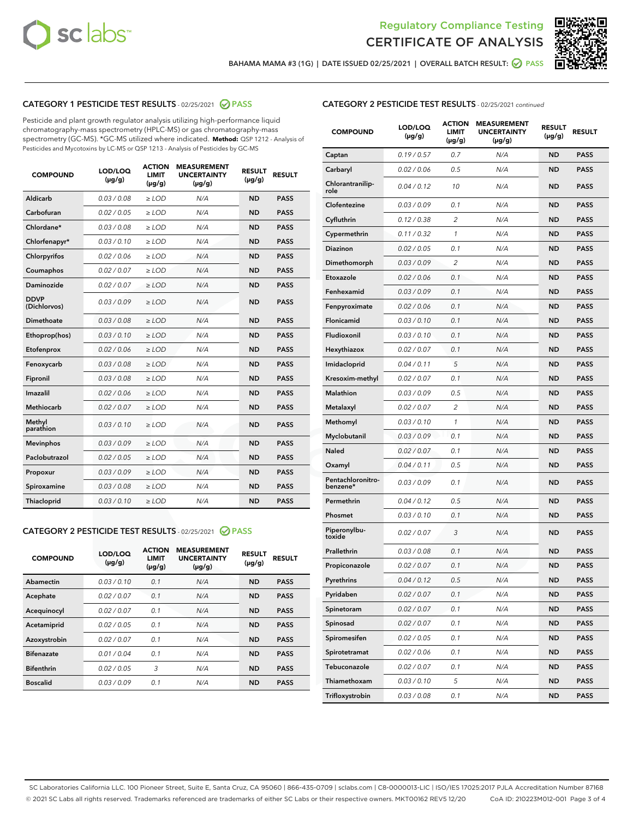



BAHAMA MAMA #3 (1G) | DATE ISSUED 02/25/2021 | OVERALL BATCH RESULT:  $\bigcirc$  PASS

# CATEGORY 1 PESTICIDE TEST RESULTS - 02/25/2021 2 PASS

Pesticide and plant growth regulator analysis utilizing high-performance liquid chromatography-mass spectrometry (HPLC-MS) or gas chromatography-mass spectrometry (GC-MS). \*GC-MS utilized where indicated. **Method:** QSP 1212 - Analysis of Pesticides and Mycotoxins by LC-MS or QSP 1213 - Analysis of Pesticides by GC-MS

| <b>COMPOUND</b>             | LOD/LOQ<br>$(\mu g/g)$ | <b>ACTION</b><br><b>LIMIT</b><br>$(\mu g/g)$ | <b>MEASUREMENT</b><br><b>UNCERTAINTY</b><br>$(\mu g/g)$ | <b>RESULT</b><br>$(\mu g/g)$ | <b>RESULT</b> |
|-----------------------------|------------------------|----------------------------------------------|---------------------------------------------------------|------------------------------|---------------|
| Aldicarb                    | 0.03 / 0.08            | $\ge$ LOD                                    | N/A                                                     | <b>ND</b>                    | <b>PASS</b>   |
| Carbofuran                  | 0.02/0.05              | $>$ LOD                                      | N/A                                                     | <b>ND</b>                    | <b>PASS</b>   |
| Chlordane*                  | 0.03 / 0.08            | $\ge$ LOD                                    | N/A                                                     | <b>ND</b>                    | <b>PASS</b>   |
| Chlorfenapyr*               | 0.03/0.10              | $\ge$ LOD                                    | N/A                                                     | <b>ND</b>                    | <b>PASS</b>   |
| Chlorpyrifos                | 0.02 / 0.06            | $\ge$ LOD                                    | N/A                                                     | <b>ND</b>                    | <b>PASS</b>   |
| Coumaphos                   | 0.02/0.07              | $>$ LOD                                      | N/A                                                     | <b>ND</b>                    | <b>PASS</b>   |
| <b>Daminozide</b>           | 0.02 / 0.07            | $\ge$ LOD                                    | N/A                                                     | <b>ND</b>                    | <b>PASS</b>   |
| <b>DDVP</b><br>(Dichlorvos) | 0.03/0.09              | $\ge$ LOD                                    | N/A                                                     | <b>ND</b>                    | <b>PASS</b>   |
| <b>Dimethoate</b>           | 0.03 / 0.08            | $\ge$ LOD                                    | N/A                                                     | <b>ND</b>                    | <b>PASS</b>   |
| Ethoprop(hos)               | 0.03/0.10              | $\ge$ LOD                                    | N/A                                                     | <b>ND</b>                    | <b>PASS</b>   |
| Etofenprox                  | 0.02 / 0.06            | $\ge$ LOD                                    | N/A                                                     | <b>ND</b>                    | <b>PASS</b>   |
| Fenoxycarb                  | 0.03 / 0.08            | $\ge$ LOD                                    | N/A                                                     | <b>ND</b>                    | <b>PASS</b>   |
| Fipronil                    | 0.03/0.08              | $>$ LOD                                      | N/A                                                     | <b>ND</b>                    | <b>PASS</b>   |
| Imazalil                    | 0.02 / 0.06            | $\ge$ LOD                                    | N/A                                                     | <b>ND</b>                    | <b>PASS</b>   |
| Methiocarb                  | 0.02 / 0.07            | $\ge$ LOD                                    | N/A                                                     | <b>ND</b>                    | <b>PASS</b>   |
| Methyl<br>parathion         | 0.03/0.10              | $>$ LOD                                      | N/A                                                     | <b>ND</b>                    | <b>PASS</b>   |
| <b>Mevinphos</b>            | 0.03/0.09              | $>$ LOD                                      | N/A                                                     | <b>ND</b>                    | <b>PASS</b>   |
| Paclobutrazol               | 0.02 / 0.05            | $\ge$ LOD                                    | N/A                                                     | <b>ND</b>                    | <b>PASS</b>   |
| Propoxur                    | 0.03/0.09              | $>$ LOD                                      | N/A                                                     | <b>ND</b>                    | <b>PASS</b>   |
| Spiroxamine                 | 0.03 / 0.08            | $\ge$ LOD                                    | N/A                                                     | <b>ND</b>                    | <b>PASS</b>   |
| Thiacloprid                 | 0.03/0.10              | $\ge$ LOD                                    | N/A                                                     | <b>ND</b>                    | <b>PASS</b>   |

# CATEGORY 2 PESTICIDE TEST RESULTS - 02/25/2021 @ PASS

| <b>COMPOUND</b>   | LOD/LOQ<br>$(\mu g/g)$ | <b>ACTION</b><br><b>LIMIT</b><br>$(\mu g/g)$ | <b>MEASUREMENT</b><br><b>UNCERTAINTY</b><br>$(\mu g/g)$ | <b>RESULT</b><br>$(\mu g/g)$ | <b>RESULT</b> |
|-------------------|------------------------|----------------------------------------------|---------------------------------------------------------|------------------------------|---------------|
| Abamectin         | 0.03/0.10              | 0.1                                          | N/A                                                     | <b>ND</b>                    | <b>PASS</b>   |
| Acephate          | 0.02/0.07              | 0.1                                          | N/A                                                     | <b>ND</b>                    | <b>PASS</b>   |
| Acequinocyl       | 0.02/0.07              | 0.1                                          | N/A                                                     | <b>ND</b>                    | <b>PASS</b>   |
| Acetamiprid       | 0.02/0.05              | 0.1                                          | N/A                                                     | <b>ND</b>                    | <b>PASS</b>   |
| Azoxystrobin      | 0.02/0.07              | 0.1                                          | N/A                                                     | <b>ND</b>                    | <b>PASS</b>   |
| <b>Bifenazate</b> | 0.01/0.04              | 0.1                                          | N/A                                                     | <b>ND</b>                    | <b>PASS</b>   |
| <b>Bifenthrin</b> | 0.02/0.05              | 3                                            | N/A                                                     | <b>ND</b>                    | <b>PASS</b>   |
| <b>Boscalid</b>   | 0.03/0.09              | 0.1                                          | N/A                                                     | <b>ND</b>                    | <b>PASS</b>   |

| <b>CATEGORY 2 PESTICIDE TEST RESULTS</b> - 02/25/2021 continued |
|-----------------------------------------------------------------|
|-----------------------------------------------------------------|

| <b>COMPOUND</b>               | LOD/LOQ<br>$(\mu g/g)$ | <b>ACTION</b><br>LIMIT<br>$(\mu g/g)$ | <b>MEASUREMENT</b><br><b>UNCERTAINTY</b><br>(µg/g) | <b>RESULT</b><br>(µg/g) | <b>RESULT</b> |
|-------------------------------|------------------------|---------------------------------------|----------------------------------------------------|-------------------------|---------------|
| Captan                        | 0.19/0.57              | 0.7                                   | N/A                                                | <b>ND</b>               | <b>PASS</b>   |
| Carbaryl                      | 0.02 / 0.06            | 0.5                                   | N/A                                                | ND                      | <b>PASS</b>   |
| Chlorantranilip-<br>role      | 0.04/0.12              | 10                                    | N/A                                                | ND                      | <b>PASS</b>   |
| Clofentezine                  | 0.03 / 0.09            | 0.1                                   | N/A                                                | ND                      | <b>PASS</b>   |
| Cyfluthrin                    | 0.12 / 0.38            | 2                                     | N/A                                                | ND                      | <b>PASS</b>   |
| Cypermethrin                  | 0.11 / 0.32            | 1                                     | N/A                                                | ND                      | <b>PASS</b>   |
| <b>Diazinon</b>               | 0.02 / 0.05            | 0.1                                   | N/A                                                | ND                      | <b>PASS</b>   |
| Dimethomorph                  | 0.03 / 0.09            | 2                                     | N/A                                                | ND                      | <b>PASS</b>   |
| Etoxazole                     | 0.02 / 0.06            | 0.1                                   | N/A                                                | ND                      | <b>PASS</b>   |
| Fenhexamid                    | 0.03 / 0.09            | 0.1                                   | N/A                                                | ND                      | <b>PASS</b>   |
| Fenpyroximate                 | 0.02 / 0.06            | 0.1                                   | N/A                                                | ND                      | <b>PASS</b>   |
| Flonicamid                    | 0.03 / 0.10            | 0.1                                   | N/A                                                | ND                      | <b>PASS</b>   |
| Fludioxonil                   | 0.03/0.10              | 0.1                                   | N/A                                                | ND                      | <b>PASS</b>   |
| Hexythiazox                   | 0.02 / 0.07            | 0.1                                   | N/A                                                | ND                      | <b>PASS</b>   |
| Imidacloprid                  | 0.04/0.11              | 5                                     | N/A                                                | ND                      | <b>PASS</b>   |
| Kresoxim-methyl               | 0.02 / 0.07            | 0.1                                   | N/A                                                | ND                      | <b>PASS</b>   |
| <b>Malathion</b>              | 0.03 / 0.09            | 0.5                                   | N/A                                                | ND                      | <b>PASS</b>   |
| Metalaxyl                     | 0.02 / 0.07            | 2                                     | N/A                                                | ND                      | <b>PASS</b>   |
| Methomyl                      | 0.03 / 0.10            | 1                                     | N/A                                                | ND                      | <b>PASS</b>   |
| Myclobutanil                  | 0.03 / 0.09            | 0.1                                   | N/A                                                | ND                      | <b>PASS</b>   |
| <b>Naled</b>                  | 0.02 / 0.07            | 0.1                                   | N/A                                                | ND                      | <b>PASS</b>   |
| Oxamyl                        | 0.04 / 0.11            | 0.5                                   | N/A                                                | ND                      | <b>PASS</b>   |
| Pentachloronitro-<br>benzene* | 0.03 / 0.09            | 0.1                                   | N/A                                                | ND                      | <b>PASS</b>   |
| Permethrin                    | 0.04 / 0.12            | 0.5                                   | N/A                                                | ND                      | <b>PASS</b>   |
| Phosmet                       | 0.03 / 0.10            | 0.1                                   | N/A                                                | ND                      | <b>PASS</b>   |
| Piperonylbu-<br>toxide        | 0.02 / 0.07            | 3                                     | N/A                                                | ND                      | <b>PASS</b>   |
| Prallethrin                   | 0.03 / 0.08            | 0.1                                   | N/A                                                | ND                      | <b>PASS</b>   |
| Propiconazole                 | 0.02 / 0.07            | 0.1                                   | N/A                                                | ND                      | <b>PASS</b>   |
| Pyrethrins                    | 0.04 / 0.12            | 0.5                                   | N/A                                                | ND                      | PASS          |
| Pyridaben                     | 0.02 / 0.07            | 0.1                                   | N/A                                                | ND                      | <b>PASS</b>   |
| Spinetoram                    | 0.02 / 0.07            | 0.1                                   | N/A                                                | <b>ND</b>               | <b>PASS</b>   |
| Spinosad                      | 0.02 / 0.07            | 0.1                                   | N/A                                                | ND                      | <b>PASS</b>   |
| Spiromesifen                  | 0.02 / 0.05            | 0.1                                   | N/A                                                | ND                      | <b>PASS</b>   |
| Spirotetramat                 | 0.02 / 0.06            | 0.1                                   | N/A                                                | ND                      | <b>PASS</b>   |
| Tebuconazole                  | 0.02 / 0.07            | 0.1                                   | N/A                                                | ND                      | <b>PASS</b>   |
| Thiamethoxam                  | 0.03 / 0.10            | 5                                     | N/A                                                | ND                      | <b>PASS</b>   |
| Trifloxystrobin               | 0.03 / 0.08            | 0.1                                   | N/A                                                | ND                      | <b>PASS</b>   |

SC Laboratories California LLC. 100 Pioneer Street, Suite E, Santa Cruz, CA 95060 | 866-435-0709 | sclabs.com | C8-0000013-LIC | ISO/IES 17025:2017 PJLA Accreditation Number 87168 © 2021 SC Labs all rights reserved. Trademarks referenced are trademarks of either SC Labs or their respective owners. MKT00162 REV5 12/20 CoA ID: 210223M012-001 Page 3 of 4